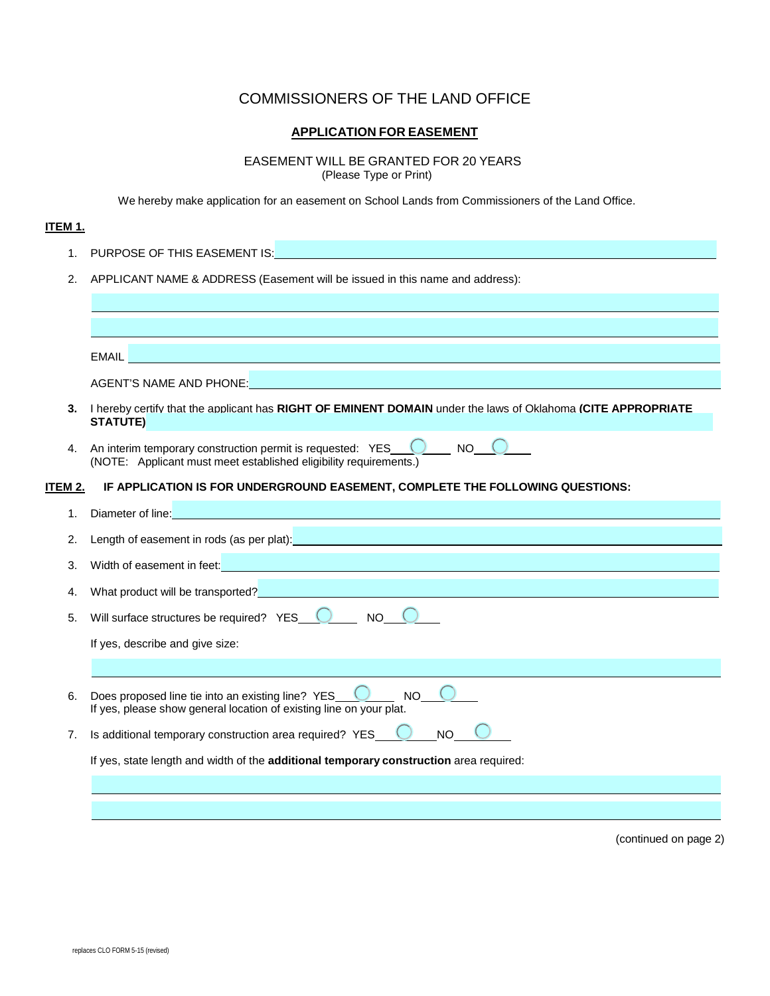## COMMISSIONERS OF THE LAND OFFICE

## **APPLICATION FOR EASEMENT**

## EASEMENT WILL BE GRANTED FOR 20 YEARS

(Please Type or Print)

We hereby make application for an easement on School Lands from Commissioners of the Land Office.

## **ITEM 1.**

| 1.                                                                                 |                                                                                                                                                                                                                                      |  |  |  |
|------------------------------------------------------------------------------------|--------------------------------------------------------------------------------------------------------------------------------------------------------------------------------------------------------------------------------------|--|--|--|
| 2.<br>APPLICANT NAME & ADDRESS (Easement will be issued in this name and address): |                                                                                                                                                                                                                                      |  |  |  |
|                                                                                    |                                                                                                                                                                                                                                      |  |  |  |
|                                                                                    |                                                                                                                                                                                                                                      |  |  |  |
|                                                                                    | EMAIL <b>And the community of the community of the community of the community of the community of the community</b>                                                                                                                  |  |  |  |
|                                                                                    | AGENT'S NAME AND PHONE: A RESIDENCE OF A RESIDENCE OF A RESIDENCE OF A RESIDENCE OF A RESIDENCE OF A RESIDENCE                                                                                                                       |  |  |  |
| 3.                                                                                 | I hereby certify that the applicant has RIGHT OF EMINENT DOMAIN under the laws of Oklahoma (CITE APPROPRIATE<br><b>STATUTE)</b>                                                                                                      |  |  |  |
| 4.                                                                                 | An interim temporary construction permit is requested: YES COMMON NO<br>(NOTE: Applicant must meet established eligibility requirements.)                                                                                            |  |  |  |
| ITEM 2.                                                                            | IF APPLICATION IS FOR UNDERGROUND EASEMENT, COMPLETE THE FOLLOWING QUESTIONS:                                                                                                                                                        |  |  |  |
| 1.                                                                                 | Diameter of line: <b>Example 2018</b> Contract to the contract of the contract of the contract of the contract of the contract of the contract of the contract of the contract of the contract of the contract of the contract of t  |  |  |  |
| 2.                                                                                 | Length of easement in rods (as per plat): Notified the state of the state of the state of the state of the state of the state of the state of the state of the state of the state of the state of the state of the state of th       |  |  |  |
| 3.                                                                                 | Width of easement in feet: <b>with a set of the contract of the contract of the contract of the contract of the contract of the contract of the contract of the contract of the contract of the contract of the contract of the </b> |  |  |  |
| 4.                                                                                 | What product will be transported?<br>What product will be transported?                                                                                                                                                               |  |  |  |
| 5.                                                                                 | Will surface structures be required? YES $\bigcirc$ NO $\bigcirc$                                                                                                                                                                    |  |  |  |
|                                                                                    | If yes, describe and give size:                                                                                                                                                                                                      |  |  |  |
|                                                                                    |                                                                                                                                                                                                                                      |  |  |  |
| 6.                                                                                 | Does proposed line tie into an existing line? $YES$<br><b>NO</b><br>If yes, please show general location of existing line on your plat.                                                                                              |  |  |  |
| 7.                                                                                 | Is additional temporary construction area required? YES<br><b>NO</b>                                                                                                                                                                 |  |  |  |
|                                                                                    | If yes, state length and width of the additional temporary construction area required:                                                                                                                                               |  |  |  |
|                                                                                    |                                                                                                                                                                                                                                      |  |  |  |
|                                                                                    |                                                                                                                                                                                                                                      |  |  |  |

(continued on page 2)